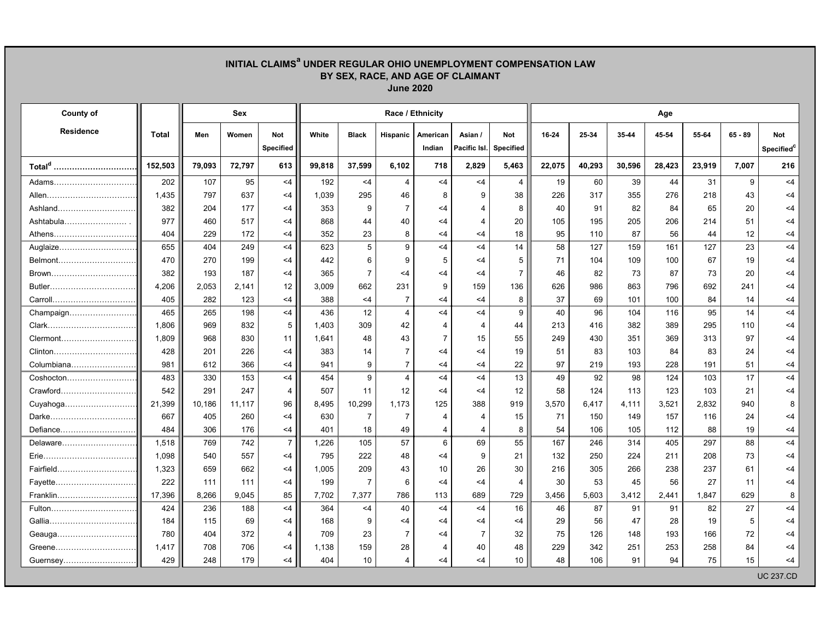## **INITIAL CLAIMSa UNDER REGULAR OHIO UNEMPLOYMENT COMPENSATION LAW BY SEX, RACE, AND AGE OF CLAIMANT June 2020**

| County of          |              |        | Sex    |                                | Race / Ethnicity |                |                |                    |                         |                         |        | Age    |           |        |        |           |                                      |  |  |
|--------------------|--------------|--------|--------|--------------------------------|------------------|----------------|----------------|--------------------|-------------------------|-------------------------|--------|--------|-----------|--------|--------|-----------|--------------------------------------|--|--|
| <b>Residence</b>   | <b>Total</b> | Men    | Women  | <b>Not</b><br><b>Specified</b> | White            | <b>Black</b>   | Hispanic       | American<br>Indian | Asian /<br>Pacific Isl. | <b>Not</b><br>Specified | 16-24  | 25-34  | $35 - 44$ | 45-54  | 55-64  | $65 - 89$ | <b>Not</b><br>Specified <sup>c</sup> |  |  |
| Total <sup>d</sup> | 152,503      | 79,093 | 72,797 | 613                            | 99,818           | 37,599         | 6,102          | 718                | 2,829                   | 5,463                   | 22,075 | 40,293 | 30,596    | 28,423 | 23,919 | 7,007     | 216                                  |  |  |
| Adams……………………………   | 202          | 107    | 95     | $<$ 4                          | 192              | $<$ 4          | 4              | $<$ 4              | $<$ 4                   | $\overline{4}$          | 19     | 60     | 39        | 44     | 31     | 9         | $<$ 4                                |  |  |
|                    | 1,435        | 797    | 637    | $<$ 4                          | 1,039            | 295            | 46             | 8                  | 9                       | 38                      | 226    | 317    | 355       | 276    | 218    | 43        | $<$ 4                                |  |  |
| Ashland            | 382          | 204    | 177    | <4                             | 353              | 9              | $\overline{7}$ | $<$ 4              | 4                       | 8                       | 40     | 91     | 82        | 84     | 65     | 20        | $<$ 4                                |  |  |
| Ashtabula          | 977          | 460    | 517    | $<$ 4                          | 868              | 44             | 40             | $<$ 4              | 4                       | 20                      | 105    | 195    | 205       | 206    | 214    | 51        | $<$ 4                                |  |  |
| Athens             | 404          | 229    | 172    | <4                             | 352              | 23             | 8              | $<$ 4              | $<$ 4                   | 18                      | 95     | 110    | 87        | 56     | 44     | 12        | $<$ 4                                |  |  |
| Auglaize           | 655          | 404    | 249    | $<$ 4                          | 623              | $\overline{5}$ | 9              | <4                 | <4                      | 14                      | 58     | 127    | 159       | 161    | 127    | 23        | $<$ 4                                |  |  |
| Belmont            | 470          | 270    | 199    | $<$ 4                          | 442              | 6              | 9              | 5                  | $<$ 4                   | 5                       | 71     | 104    | 109       | 100    | 67     | 19        | <4                                   |  |  |
| Brown              | 382          | 193    | 187    | $<$ 4                          | 365              | $\overline{7}$ | $<$ 4          | $<$ 4              | $<$ 4                   | $\overline{7}$          | 46     | 82     | 73        | 87     | 73     | 20        | <4                                   |  |  |
|                    | 4,206        | 2,053  | 2,141  | 12                             | 3,009            | 662            | 231            | 9                  | 159                     | 136                     | 626    | 986    | 863       | 796    | 692    | 241       | $<$ 4                                |  |  |
| Carroll            | 405          | 282    | 123    | $<$ 4                          | 388              | $<$ 4          | $\overline{7}$ | $<$ 4              | $<$ 4                   | 8                       | 37     | 69     | 101       | 100    | 84     | 14        | <4                                   |  |  |
| Champaign          | 465          | 265    | 198    | $<$ 4                          | 436              | 12             | $\overline{4}$ | <4                 | <4                      | 9                       | 40     | 96     | 104       | 116    | 95     | 14        | $<$ 4                                |  |  |
|                    | 1,806        | 969    | 832    | 5                              | 1,403            | 309            | 42             | $\overline{4}$     | 4                       | 44                      | 213    | 416    | 382       | 389    | 295    | 110       | $<$ 4                                |  |  |
| Clermont           | 1,809        | 968    | 830    | 11                             | 1,641            | 48             | 43             | $\overline{7}$     | 15                      | 55                      | 249    | 430    | 351       | 369    | 313    | 97        | $<$ 4                                |  |  |
| Clinton            | 428          | 201    | 226    | $<$ 4                          | 383              | 14             | $\overline{7}$ | $<$ 4              | $<$ 4                   | 19                      | 51     | 83     | 103       | 84     | 83     | 24        | $<$ 4                                |  |  |
| Columbiana         | 981          | 612    | 366    | $<$ 4                          | 941              | 9              | $\overline{7}$ | $<$ 4              | $<$ 4                   | 22                      | 97     | 219    | 193       | 228    | 191    | 51        | $<$ 4                                |  |  |
| Coshocton          | 483          | 330    | 153    | $<$ 4                          | 454              | 9              | 4              | $<$ 4              | $<$ 4                   | 13                      | 49     | 92     | 98        | 124    | 103    | 17        | $<$ 4                                |  |  |
| Crawford           | 542          | 291    | 247    | 4                              | 507              | 11             | 12             | $<$ 4              | $<$ 4                   | 12                      | 58     | 124    | 113       | 123    | 103    | 21        | $<$ 4                                |  |  |
| Cuyahoga           | 21,399       | 10,186 | 11,117 | 96                             | 8,495            | 10,299         | 1,173          | 125                | 388                     | 919                     | 3,570  | 6.417  | 4,111     | 3,521  | 2,832  | 940       | 8                                    |  |  |
| Darke              | 667          | 405    | 260    | $<$ 4                          | 630              | $\overline{7}$ | $\overline{7}$ | 4                  | 4                       | 15                      | 71     | 150    | 149       | 157    | 116    | 24        | $<$ 4                                |  |  |
| Defiance           | 484          | 306    | 176    | <4                             | 401              | 18             | 49             | 4                  | 4                       | 8                       | 54     | 106    | 105       | 112    | 88     | 19        | <4                                   |  |  |
| Delaware           | 1,518        | 769    | 742    | $\overline{7}$                 | 1,226            | 105            | 57             | 6                  | 69                      | 55                      | 167    | 246    | 314       | 405    | 297    | 88        | <4                                   |  |  |
|                    | 1,098        | 540    | 557    | $<$ 4                          | 795              | 222            | 48             | $<$ 4              | $\boldsymbol{9}$        | 21                      | 132    | 250    | 224       | 211    | 208    | 73        | <4                                   |  |  |
| Fairfield          | 1,323        | 659    | 662    | <4                             | 1,005            | 209            | 43             | 10                 | 26                      | 30                      | 216    | 305    | 266       | 238    | 237    | 61        | $<$ 4                                |  |  |
| Fayette            | 222          | 111    | 111    | $<$ 4                          | 199              | $\overline{7}$ | 6              | $<$ 4              | $<$ 4                   | $\overline{4}$          | 30     | 53     | 45        | 56     | 27     | 11        | $<$ 4                                |  |  |
| Franklin           | 17,396       | 8,266  | 9,045  | 85                             | 7,702            | 7,377          | 786            | 113                | 689                     | 729                     | 3,456  | 5,603  | 3,412     | 2,441  | 1,847  | 629       | 8                                    |  |  |
| Fulton             | 424          | 236    | 188    | $<$ 4                          | 364              | $<$ 4          | 40             | $<$ 4              | $<$ 4                   | 16                      | 46     | 87     | 91        | 91     | 82     | 27        | $<$ 4                                |  |  |
|                    | 184          | 115    | 69     | $<$ 4                          | 168              | 9              | $<$ 4          | $<$ 4              | <4                      | <4                      | 29     | 56     | 47        | 28     | 19     | 5         | $<$ 4                                |  |  |
| Geauga             | 780          | 404    | 372    | 4                              | 709              | 23             | $\overline{7}$ | $<$ 4              | $\overline{7}$          | 32                      | 75     | 126    | 148       | 193    | 166    | 72        | $<$ 4                                |  |  |
| Greene             | 1,417        | 708    | 706    | $<$ 4                          | 1,138            | 159            | 28             | 4                  | 40                      | 48                      | 229    | 342    | 251       | 253    | 258    | 84        | $<$ 4                                |  |  |
| Guernsey           | 429          | 248    | 179    | $<$ 4                          | 404              | 10             | $\overline{4}$ | $<$ 4              | <4                      | 10                      | 48     | 106    | 91        | 94     | 75     | 15        | $<$ 4                                |  |  |
|                    |              |        |        |                                |                  |                |                |                    |                         |                         |        |        |           |        |        |           | <b>UC 237.CD</b>                     |  |  |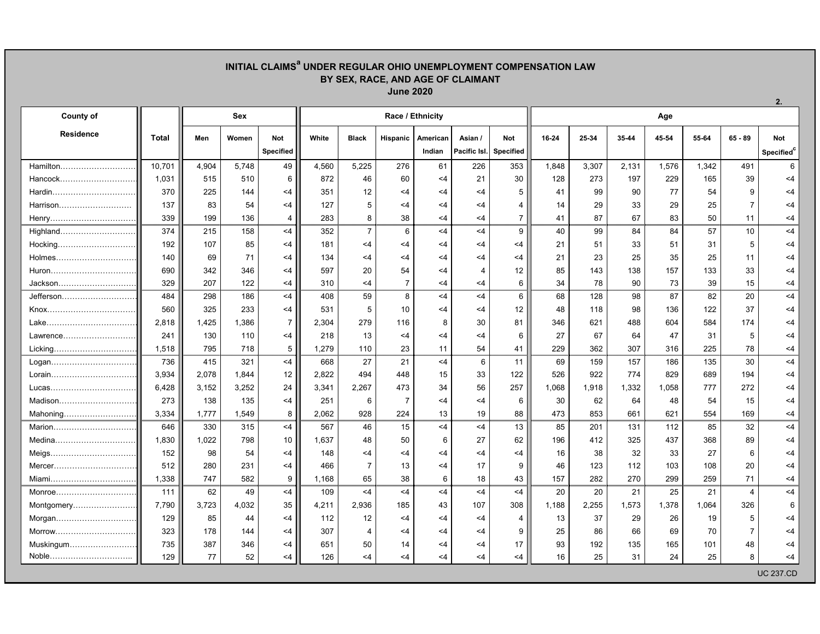## **INITIAL CLAIMSa UNDER REGULAR OHIO UNEMPLOYMENT COMPENSATION LAW BY SEX, RACE, AND AGE OF CLAIMANT June 2020**

| County of         |              | <b>Sex</b> |       |                |       |                | Race / Ethnicity |          |                |                  | Age   |       |       |       |       |                |                        |  |  |
|-------------------|--------------|------------|-------|----------------|-------|----------------|------------------|----------|----------------|------------------|-------|-------|-------|-------|-------|----------------|------------------------|--|--|
| Residence         | <b>Total</b> | Men        | Women | <b>Not</b>     | White | <b>Black</b>   | Hispanic         | American | Asian /        | Not              | 16-24 | 25-34 | 35-44 | 45-54 | 55-64 | $65 - 89$      | Not                    |  |  |
|                   |              |            |       | Specified      |       |                |                  | Indian   | Pacific Isl.   | <b>Specified</b> |       |       |       |       |       |                | Specified <sup>c</sup> |  |  |
| Hamilton          | 10,701       | 4,904      | 5,748 | 49             | 4,560 | 5,225          | 276              | 61       | 226            | 353              | 1,848 | 3,307 | 2,131 | 1,576 | 1,342 | 491            | 6                      |  |  |
| Hancock           | 1,031        | 515        | 510   | 6              | 872   | 46             | 60               | $<$ 4    | 21             | 30               | 128   | 273   | 197   | 229   | 165   | 39             | $<$ 4                  |  |  |
| Hardin            | 370          | 225        | 144   | <4             | 351   | 12             | $<$ 4            | $<$ 4    | $<$ 4          | 5                | 41    | 99    | 90    | 77    | 54    | 9              | $<$ 4                  |  |  |
| Harrison          | 137          | 83         | 54    | $<$ 4          | 127   | 5              | $<$ 4            | $<$ 4    | $<$ 4          | 4                | 14    | 29    | 33    | 29    | 25    | $\overline{7}$ | $<$ 4                  |  |  |
| Henry             | 339          | 199        | 136   | 4              | 283   | 8              | 38               | $<$ 4    | $<$ 4          | $\overline{7}$   | 41    | 87    | 67    | 83    | 50    | 11             | $<$ 4                  |  |  |
| Highland          | 374          | 215        | 158   | <4             | 352   | $\overline{7}$ | 6                | $<$ 4    | $<$ 4          | 9                | 40    | 99    | 84    | 84    | 57    | 10             | <4                     |  |  |
| Hocking           | 192          | 107        | 85    | $<$ 4          | 181   | $<$ 4          | $<$ 4            | $<$ 4    | $<$ 4          | $<$ 4            | 21    | 51    | 33    | 51    | 31    | 5              | $<$ 4                  |  |  |
| Holmes            | 140          | 69         | 71    | $<$ 4          | 134   | $<$ 4          | $<$ 4            | $<$ 4    | $<$ 4          | $<$ 4            | 21    | 23    | 25    | 35    | 25    | 11             | $<$ 4                  |  |  |
| Huron             | 690          | 342        | 346   | $<$ 4          | 597   | 20             | 54               | $<$ 4    | $\overline{4}$ | 12               | 85    | 143   | 138   | 157   | 133   | 33             | $<$ 4                  |  |  |
| Jackson           | 329          | 207        | 122   | $<$ 4          | 310   | $<$ 4          | $\overline{7}$   | $<$ 4    | $<$ 4          | 6                | 34    | 78    | 90    | 73    | 39    | 15             | $<$ 4                  |  |  |
| Jefferson         | 484          | 298        | 186   | <4             | 408   | 59             | 8                | $<$ 4    | <4             | 6                | 68    | 128   | 98    | 87    | 82    | 20             | $<$ 4                  |  |  |
|                   | 560          | 325        | 233   | <4             | 531   | 5              | 10               | $<$ 4    | $<$ 4          | 12               | 48    | 118   | 98    | 136   | 122   | 37             | $<$ 4                  |  |  |
| Lake………………………………  | 2,818        | 1,425      | 1,386 | $\overline{7}$ | 2,304 | 279            | 116              | 8        | 30             | 81               | 346   | 621   | 488   | 604   | 584   | 174            | $<$ 4                  |  |  |
| Lawrence          | 241          | 130        | 110   | $<$ 4          | 218   | 13             | $<$ 4            | $<$ 4    | $<$ 4          | 6                | 27    | 67    | 64    | 47    | 31    | 5              | $<$ 4                  |  |  |
| Licking           | 1,518        | 795        | 718   | 5              | 1,279 | 110            | 23               | 11       | 54             | 41               | 229   | 362   | 307   | 316   | 225   | 78             | $<$ 4                  |  |  |
| Logan             | 736          | 415        | 321   | <4             | 668   | 27             | 21               | $<$ 4    | 6              | 11               | 69    | 159   | 157   | 186   | 135   | 30             | $<$ 4                  |  |  |
| Lorain            | 3,934        | 2,078      | 1,844 | 12             | 2,822 | 494            | 448              | 15       | 33             | 122              | 526   | 922   | 774   | 829   | 689   | 194            | $<$ 4                  |  |  |
| Lucas……………………………… | 6,428        | 3,152      | 3,252 | 24             | 3,341 | 2,267          | 473              | 34       | 56             | 257              | 1,068 | 1,918 | 1,332 | 1,058 | 777   | 272            | $<$ 4                  |  |  |
| Madison           | 273          | 138        | 135   | $<$ 4          | 251   | 6              | $\overline{7}$   | $<$ 4    | $<$ 4          | 6                | 30    | 62    | 64    | 48    | 54    | 15             | $<$ 4                  |  |  |
| Mahoning          | 3,334        | 1,777      | 1,549 | 8              | 2,062 | 928            | 224              | 13       | 19             | 88               | 473   | 853   | 661   | 621   | 554   | 169            | $<$ 4                  |  |  |
| Marion            | 646          | 330        | 315   | <4             | 567   | 46             | 15               | $<$ 4    | $<$ 4          | 13               | 85    | 201   | 131   | 112   | 85    | 32             | <4                     |  |  |
| Medina            | 1,830        | 1,022      | 798   | 10             | 1,637 | 48             | 50               | 6        | 27             | 62               | 196   | 412   | 325   | 437   | 368   | 89             | $<$ 4                  |  |  |
| Meigs             | 152          | 98         | 54    | $<$ 4          | 148   | $<$ 4          | $<$ 4            | $<$ 4    | $<$ 4          | $<$ 4            | 16    | 38    | 32    | 33    | 27    | 6              | $<$ 4                  |  |  |
| Mercer            | 512          | 280        | 231   | $<$ 4          | 466   | $\overline{7}$ | 13               | $<$ 4    | 17             | 9                | 46    | 123   | 112   | 103   | 108   | 20             | $<$ 4                  |  |  |
| Miami             | 1,338        | 747        | 582   | 9              | 1,168 | 65             | 38               | 6        | 18             | 43               | 157   | 282   | 270   | 299   | 259   | 71             | $<$ 4                  |  |  |
| Monroe            | 111          | 62         | 49    | <4             | 109   | $<$ 4          | $<$ 4            | $<$ 4    | $<$ 4          | $<$ 4            | 20    | 20    | 21    | 25    | 21    | $\overline{4}$ | $<$ 4                  |  |  |
| Montgomery        | 7,790        | 3,723      | 4,032 | 35             | 4,211 | 2,936          | 185              | 43       | 107            | 308              | 1,188 | 2,255 | 1,573 | 1,378 | 1,064 | 326            | 6                      |  |  |
| Morgan            | 129          | 85         | 44    | $<$ 4          | 112   | 12             | $<$ 4            | $<$ 4    | $<$ 4          | 4                | 13    | 37    | 29    | 26    | 19    | 5              | $<$ 4                  |  |  |
| Morrow            | 323          | 178        | 144   | $<$ 4          | 307   | $\Delta$       | $<$ 4            | $<$ 4    | $<$ 4          | 9                | 25    | 86    | 66    | 69    | 70    | $\overline{7}$ | $<$ 4                  |  |  |
| Muskingum         | 735          | 387        | 346   | $<$ 4          | 651   | 50             | 14               | $<$ 4    | $<$ 4          | 17               | 93    | 192   | 135   | 165   | 101   | 48             | $<$ 4                  |  |  |
| Noble             | 129          | 77         | 52    | $<$ 4          | 126   | $<$ 4          | $<$ 4            | $<$ 4    | $<$ 4          | $<$ 4            | 16    | 25    | 31    | 24    | 25    | 8              | $<$ 4                  |  |  |
|                   |              |            |       |                |       |                |                  |          |                |                  |       |       |       |       |       |                | <b>UC 237.CD</b>       |  |  |

**2.**